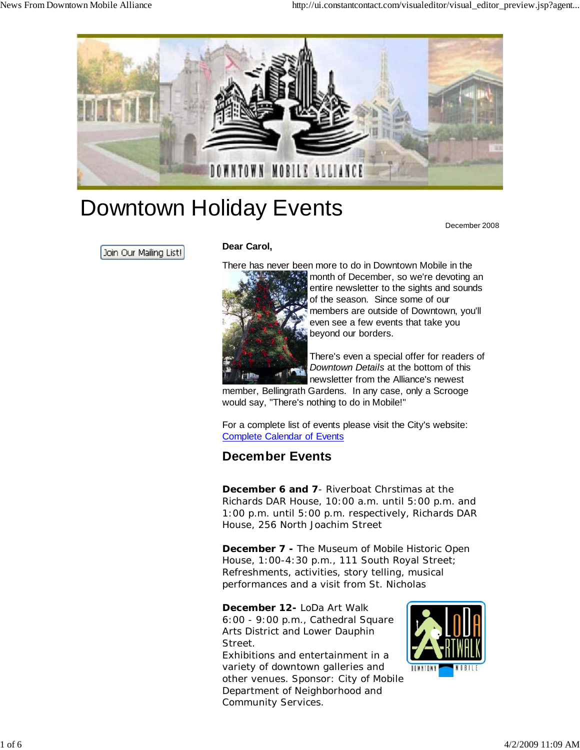

# Downtown Holiday Events

December 2008

Join Our Mailing List!

#### **Dear Carol,**

There has never been more to do in Downtown Mobile in the



month of December, so we're devoting an entire newsletter to the sights and sounds of the season. Since some of our members are outside of Downtown, you'll even see a few events that take you beyond our borders.

There's even a special offer for readers of *Downtown Details* at the bottom of this newsletter from the Alliance's newest

member, Bellingrath Gardens. In any case, only a Scrooge would say, "There's nothing to do in Mobile!"

For a complete list of events please visit the City's website: Complete Calendar of Events

## **December Events**

*December 6 and 7*- *Riverboat Chrstimas at the Richards DAR House*, 10:00 a.m. until 5:00 p.m. and 1:00 p.m. until 5:00 p.m. respectively, Richards DAR House, 256 North Joachim Street

*December 7* **-** *The Museum of Mobile Historic Open House,* 1:00-4:30 p.m., 111 South Royal Street; Refreshments, activities, story telling, musical performances and a visit from St. Nicholas

*December 12- LoDa Art Walk*

6:00 - 9:00 p.m., Cathedral Square Arts District and Lower Dauphin Street.

Exhibitions and entertainment in a variety of downtown galleries and other venues. Sponsor: City of Mobile Department of Neighborhood and Community Services.

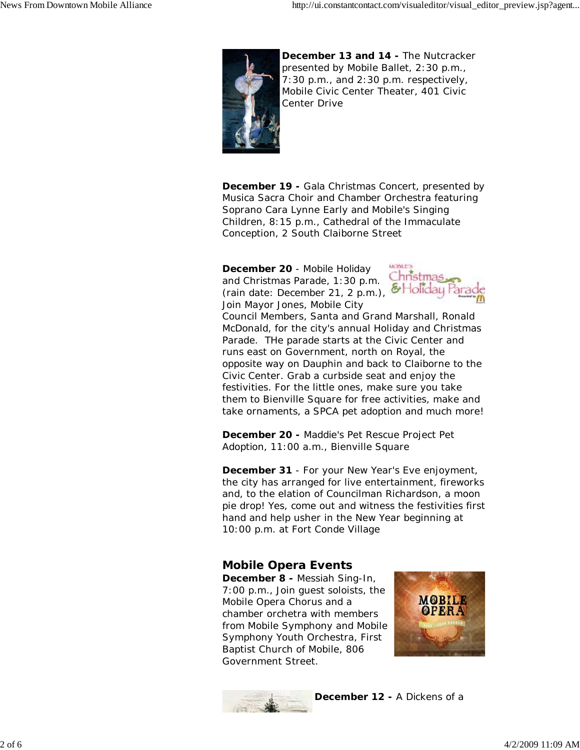

*December 13 and 14 - The Nutcracker* presented by Mobile Ballet, 2:30 p.m., 7:30 p.m., and 2:30 p.m. respectively, Mobile Civic Center Theater, 401 Civic Center Drive

*December 19 - Gala Christmas Concert,* presented by Musica Sacra Choir and Chamber Orchestra featuring Soprano Cara Lynne Early and Mobile's Singing Children, 8:15 p.m., Cathedral of the Immaculate Conception, 2 South Claiborne Street

*December 20* - *Mobile Holiday and Christmas Parade,* 1:30 p.m. (rain date: December 21, 2 p.m.), & Holiday Pa Join Mayor Jones, Mobile City



Council Members, Santa and Grand Marshall, Ronald McDonald, for the city's annual Holiday and Christmas Parade. THe parade starts at the Civic Center and runs east on Government, north on Royal, the opposite way on Dauphin and back to Claiborne to the Civic Center. Grab a curbside seat and enjoy the festivities. For the little ones, make sure you take them to Bienville Square for free activities, make and take ornaments, a SPCA pet adoption and much more!

*December 20 - Maddie's Pet Rescue Project Pet Adoption,* 11:00 a.m., Bienville Square

*December 31* - For your New Year's Eve enjoyment, the city has arranged for live entertainment, fireworks and, to the elation of Councilman Richardson, a moon pie drop! Yes, come out and witness the festivities first hand and help usher in the New Year beginning at 10:00 p.m. at Fort Conde Village

### *Mobile Opera Events*

*December 8 - Messiah Sing-In*, 7:00 p.m., Join guest soloists, the Mobile Opera Chorus and a chamber orchetra with members from Mobile Symphony and Mobile Symphony Youth Orchestra, First Baptist Church of Mobile, 806 Government Street.





*December 12 - A Dickens of a*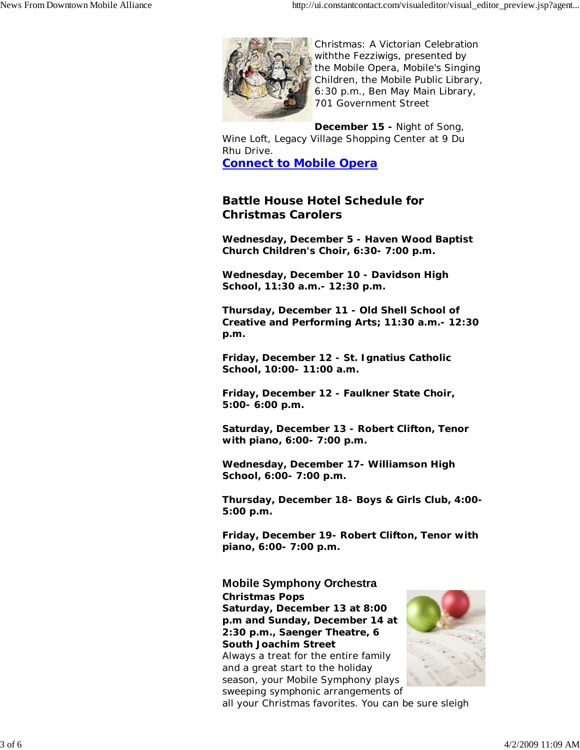

*Christmas: A Victorian Celebration withthe Fezziwigs,* presented by the Mobile Opera, Mobile's Singing Children, the Mobile Public Library, 6:30 p.m., Ben May Main Library, 701 Government Street

*December 15 - Night of Song*,

Wine Loft, Legacy Village Shopping Center at 9 Du Rhu Drive.

**Connect to Mobile Opera**

#### **Battle House Hotel Schedule for Christmas Carolers**

**Wednesday, December 5 - Haven Wood Baptist Church Children's Choir, 6:30- 7:00 p.m.**

**Wednesday, December 10 - Davidson High School, 11:30 a.m.- 12:30 p.m.**

**Thursday, December 11 - Old Shell School of Creative and Performing Arts; 11:30 a.m.- 12:30 p.m.**

**Friday, December 12 - St. Ignatius Catholic School, 10:00- 11:00 a.m.**

**Friday, December 12 - Faulkner State Choir, 5:00- 6:00 p.m.**

**Saturday, December 13 - Robert Clifton, Tenor with piano, 6:00- 7:00 p.m.** 

**Wednesday, December 17- Williamson High School, 6:00- 7:00 p.m.**

**Thursday, December 18- Boys & Girls Club, 4:00- 5:00 p.m.**

**Friday, December 19- Robert Clifton, Tenor with piano, 6:00- 7:00 p.m.**

#### **Mobile Symphony Orchestra**

*Christmas Pops Saturday, December 13 at 8:00 p.m and Sunday, December 14 at 2:30 p.m., Saenger Theatre, 6 South Joachim Street* Always a treat for the entire family and a great start to the holiday season, your Mobile Symphony plays



sweeping symphonic arrangements of all your Christmas favorites. You can be sure sleigh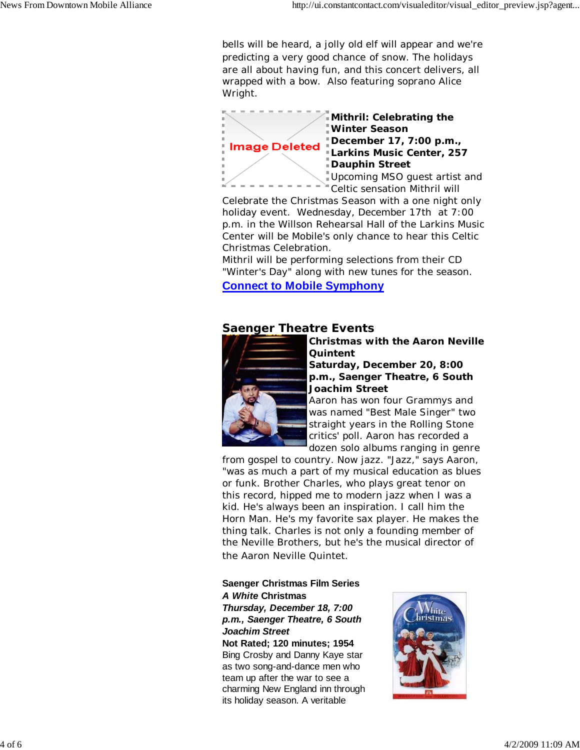bells will be heard, a jolly old elf will appear and we're predicting a very good chance of snow. The holidays are all about having fun, and this concert delivers, all wrapped with a bow. Also featuring soprano Alice Wright.



*Mithril: Celebrating the Winter Season December 17, 7:00 p.m., Larkins Music Center, 257 Dauphin Street*

Upcoming MSO guest artist and Celtic sensation Mithril will

Celebrate the Christmas Season with a one night only holiday event. Wednesday, December 17th at 7:00 p.m. in the Willson Rehearsal Hall of the Larkins Music Center will be Mobile's only chance to hear this Celtic Christmas Celebration.

Mithril will be performing selections from their CD "Winter's Day" along with new tunes for the season. **Connect to Mobile Symphony**

#### **Saenger Theatre Events**



*Christmas with the Aaron Neville Quintent Saturday, December 20, 8:00 p.m., Saenger Theatre, 6 South*

*Joachim Street* Aaron has won four Grammys and was named "Best Male Singer" two straight years in the Rolling Stone critics' poll. Aaron has recorded a

dozen solo albums ranging in genre from gospel to country. Now jazz. "Jazz," says Aaron,

"was as much a part of my musical education as blues or funk. Brother Charles, who plays great tenor on this record, hipped me to modern jazz when I was a kid. He's always been an inspiration. I call him the Horn Man. He's my favorite sax player. He makes the thing talk. Charles is not only a founding member of the Neville Brothers, but he's the musical director of the Aaron Neville Quintet.

#### **Saenger Christmas Film Series** *A White* **Christmas**

*Thursday, December 18, 7:00 p.m., Saenger Theatre, 6 South Joachim Street* **Not Rated; 120 minutes; 1954**

Bing Crosby and Danny Kaye star as two song-and-dance men who team up after the war to see a charming New England inn through its holiday season. A veritable

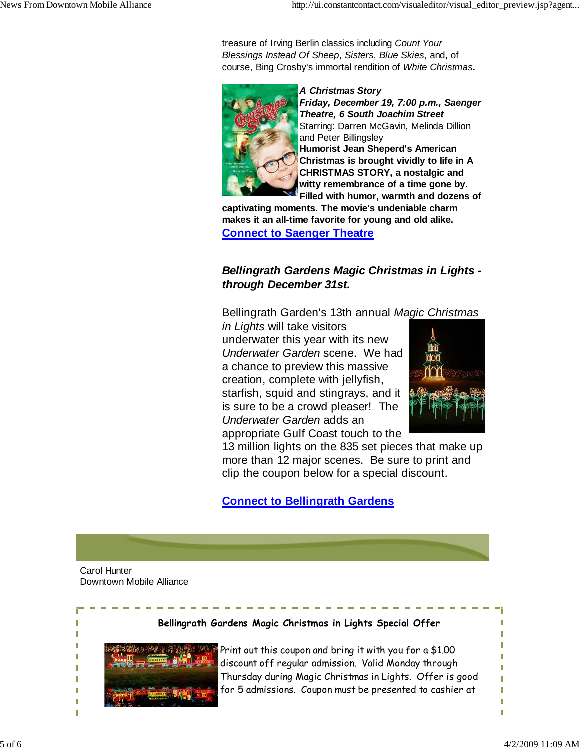treasure of Irving Berlin classics including *Count Your Blessings Instead Of Sheep*, *Sisters*, *Blue Skies*, and, of course, Bing Crosby's immortal rendition of *White Christmas***.**



*A Christmas Story Friday, December 19, 7:00 p.m., Saenger Theatre, 6 South Joachim Street* Starring: Darren McGavin, Melinda Dillion and Peter Billingsley **Humorist Jean Sheperd's American Christmas is brought vividly to life in A CHRISTMAS STORY, a nostalgic and witty remembrance of a time gone by. Filled with humor, warmth and dozens of**

**captivating moments. The movie's undeniable charm makes it an all-time favorite for young and old alike. Connect to Saenger Theatre**

#### *Bellingrath Gardens Magic Christmas in Lights through December 31st.*

Bellingrath Garden's 13th annual *Magic Christmas*

*in Lights* will take visitors underwater this year with its new *Underwater Garden* scene. We had a chance to preview this massive creation, complete with jellyfish, starfish, squid and stingrays, and it is sure to be a crowd pleaser! The *Underwater Garden* adds an appropriate Gulf Coast touch to the



13 million lights on the 835 set pieces that make up more than 12 major scenes. Be sure to print and clip the coupon below for a special discount.

**Connect to Bellingrath Gardens**

Carol Hunter Downtown Mobile Alliance